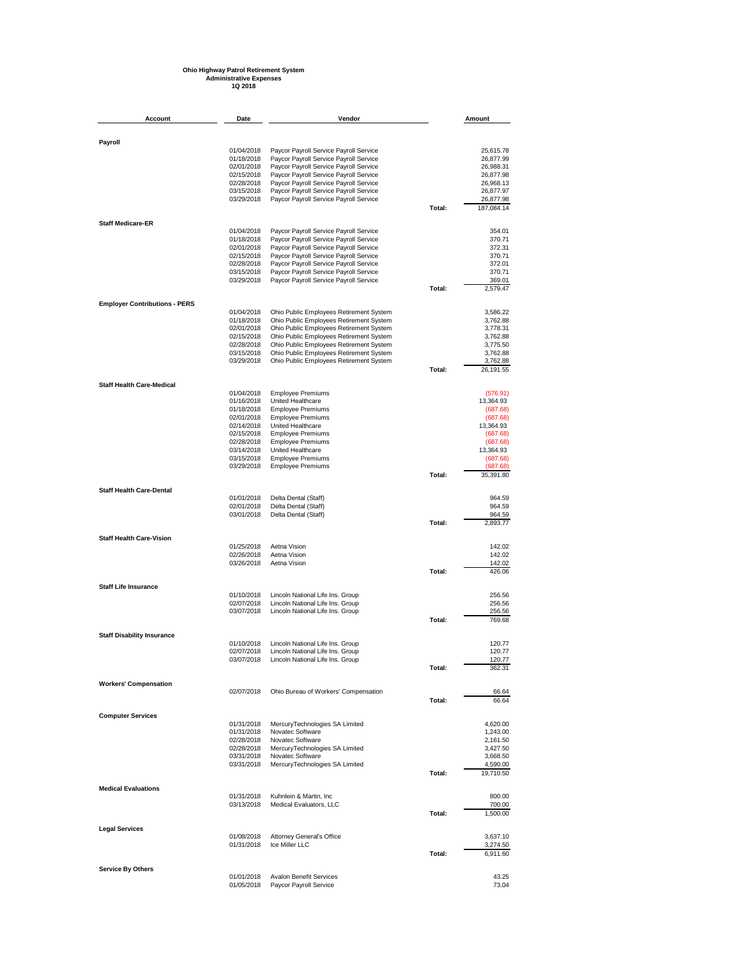## **Ohio Highway Patrol Retirement System Administrative Expenses 1Q 2018**

| Account                              | Date                     | Vendor                                                                             |        | Amount                 |
|--------------------------------------|--------------------------|------------------------------------------------------------------------------------|--------|------------------------|
|                                      |                          |                                                                                    |        |                        |
| Payroll                              |                          |                                                                                    |        |                        |
|                                      | 01/04/2018<br>01/18/2018 | Paycor Payroll Service Payroll Service<br>Paycor Payroll Service Payroll Service   |        | 25,615.78<br>26,877.99 |
|                                      | 02/01/2018               | Paycor Payroll Service Payroll Service                                             |        | 26,988.31              |
|                                      | 02/15/2018               | Paycor Payroll Service Payroll Service                                             |        | 26,877.98              |
|                                      | 02/28/2018               | Paycor Payroll Service Payroll Service                                             |        | 26,968.13              |
|                                      | 03/15/2018<br>03/29/2018 | Paycor Payroll Service Payroll Service<br>Paycor Payroll Service Payroll Service   |        | 26,877.97<br>26,877.98 |
|                                      |                          |                                                                                    | Total: | 187,084.14             |
| <b>Staff Medicare-ER</b>             |                          |                                                                                    |        |                        |
|                                      | 01/04/2018<br>01/18/2018 | Paycor Payroll Service Payroll Service<br>Paycor Payroll Service Payroll Service   |        | 354.01<br>370.71       |
|                                      | 02/01/2018               | Paycor Payroll Service Payroll Service                                             |        | 372.31                 |
|                                      | 02/15/2018               | Paycor Payroll Service Payroll Service                                             |        | 370.71                 |
|                                      | 02/28/2018               | Paycor Payroll Service Payroll Service                                             |        | 372.01                 |
|                                      | 03/15/2018<br>03/29/2018 | Paycor Payroll Service Payroll Service<br>Paycor Payroll Service Payroll Service   |        | 370.71<br>369.01       |
|                                      |                          |                                                                                    | Total: | 2,579.47               |
| <b>Employer Contributions - PERS</b> |                          |                                                                                    |        |                        |
|                                      | 01/04/2018               | Ohio Public Employees Retirement System                                            |        | 3,586.22               |
|                                      | 01/18/2018<br>02/01/2018 | Ohio Public Employees Retirement System<br>Ohio Public Employees Retirement System |        | 3,762.88<br>3,778.31   |
|                                      | 02/15/2018               | Ohio Public Employees Retirement System                                            |        | 3,762.88               |
|                                      | 02/28/2018               | Ohio Public Employees Retirement System                                            |        | 3,775.50               |
|                                      | 03/15/2018               | Ohio Public Employees Retirement System                                            |        | 3,762.88               |
|                                      | 03/29/2018               | Ohio Public Employees Retirement System                                            | Total: | 3,762.88<br>26,191.55  |
| <b>Staff Health Care-Medical</b>     |                          |                                                                                    |        |                        |
|                                      | 01/04/2018               | <b>Employee Premiums</b>                                                           |        | (576.91)               |
|                                      | 01/16/2018<br>01/18/2018 | United Healthcare<br><b>Employee Premiums</b>                                      |        | 13,364.93<br>(687.68)  |
|                                      | 02/01/2018               | <b>Employee Premiums</b>                                                           |        | (687.68)               |
|                                      | 02/14/2018               | United Healthcare                                                                  |        | 13,364.93              |
|                                      | 02/15/2018               | <b>Employee Premiums</b>                                                           |        | (687.68)               |
|                                      | 02/28/2018<br>03/14/2018 | <b>Employee Premiums</b><br>United Healthcare                                      |        | (687.68)<br>13,364.93  |
|                                      | 03/15/2018               | <b>Employee Premiums</b>                                                           |        | (687.68)               |
|                                      | 03/29/2018               | <b>Employee Premiums</b>                                                           |        | (687.68)               |
|                                      |                          |                                                                                    | Total: | 35,391.80              |
| <b>Staff Health Care-Dental</b>      | 01/01/2018               | Delta Dental (Staff)                                                               |        | 964.59                 |
|                                      | 02/01/2018               | Delta Dental (Staff)                                                               |        | 964.59                 |
|                                      | 03/01/2018               | Delta Dental (Staff)                                                               | Total: | 964.59                 |
|                                      |                          |                                                                                    |        | 2,893.77               |
| <b>Staff Health Care-Vision</b>      | 01/25/2018               | Aetna Vision                                                                       |        | 142.02                 |
|                                      | 02/26/2018               | Aetna Vision                                                                       |        | 142.02                 |
|                                      | 03/26/2018               | Aetna Vision                                                                       | Total: | 142.02<br>426.06       |
|                                      |                          |                                                                                    |        |                        |
| <b>Staff Life Insurance</b>          | 01/10/2018               | Lincoln National Life Ins. Group                                                   |        | 256.56                 |
|                                      | 02/07/2018               | Lincoln National Life Ins. Group                                                   |        | 256.56                 |
|                                      | 03/07/2018               | Lincoln National Life Ins. Group                                                   | Total: | 256.56<br>769.68       |
| <b>Staff Disability Insurance</b>    |                          |                                                                                    |        |                        |
|                                      | 01/10/2018               | Lincoln National Life Ins. Group                                                   |        | 120.77                 |
|                                      | 02/07/2018               | Lincoln National Life Ins. Group                                                   |        | 120.77                 |
|                                      | 03/07/2018               | Lincoln National Life Ins. Group                                                   | Total: | 120.77<br>362.31       |
| <b>Workers' Compensation</b>         |                          |                                                                                    |        |                        |
|                                      | 02/07/2018               | Ohio Bureau of Workers' Compensation                                               |        | 66.64                  |
|                                      |                          |                                                                                    | Total: | 66.64                  |
| <b>Computer Services</b>             | 01/31/2018               | MercuryTechnologies SA Limited                                                     |        | 4,620.00               |
|                                      | 01/31/2018               | Novatec Software                                                                   |        | 1,243.00               |
|                                      | 02/28/2018               | Novatec Software                                                                   |        | 2,161.50               |
|                                      | 02/28/2018               | MercuryTechnologies SA Limited                                                     |        | 3,427.50               |
|                                      | 03/31/2018<br>03/31/2018 | Novatec Software<br>MercuryTechnologies SA Limited                                 |        | 3,668.50<br>4,590.00   |
|                                      |                          |                                                                                    | Total: | 19,710.50              |
| <b>Medical Evaluations</b>           |                          |                                                                                    |        |                        |
|                                      | 01/31/2018<br>03/13/2018 | Kuhnlein & Martin, Inc.<br>Medical Evaluators, LLC                                 |        | 800.00<br>700.00       |
|                                      |                          |                                                                                    | Total: | 1,500.00               |
| <b>Legal Services</b>                |                          |                                                                                    |        |                        |
|                                      | 01/08/2018<br>01/31/2018 | Attorney General's Office<br>Ice Miller LLC                                        |        | 3,637.10<br>3,274.50   |
|                                      |                          |                                                                                    | Total: | 6,911.60               |
| <b>Service By Others</b>             |                          |                                                                                    |        |                        |
|                                      | 01/01/2018<br>01/05/2018 | <b>Avalon Benefit Services</b><br>Paycor Payroll Service                           |        | 43.25<br>73.04         |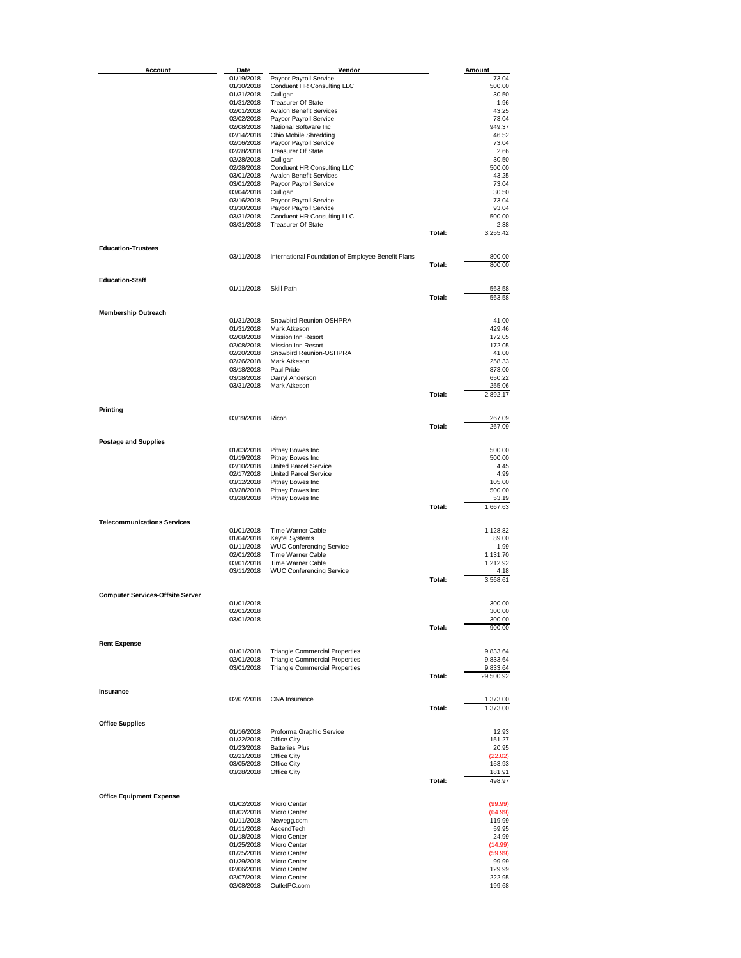| Account                                 | <b>Date</b>              | Vendor                                                                         |        | Amount               |
|-----------------------------------------|--------------------------|--------------------------------------------------------------------------------|--------|----------------------|
|                                         | 01/19/2018               | Paycor Payroll Service                                                         |        | 73.04                |
|                                         | 01/30/2018               | Conduent HR Consulting LLC                                                     |        | 500.00               |
|                                         | 01/31/2018<br>01/31/2018 | Culligan<br><b>Treasurer Of State</b>                                          |        | 30.50<br>1.96        |
|                                         | 02/01/2018               | <b>Avalon Benefit Services</b>                                                 |        | 43.25                |
|                                         | 02/02/2018               | Paycor Payroll Service                                                         |        | 73.04                |
|                                         | 02/08/2018<br>02/14/2018 | National Software Inc<br>Ohio Mobile Shredding                                 |        | 949.37<br>46.52      |
|                                         | 02/16/2018               | Paycor Payroll Service                                                         |        | 73.04                |
|                                         | 02/28/2018               | <b>Treasurer Of State</b>                                                      |        | 2.66                 |
|                                         | 02/28/2018               | Culligan                                                                       |        | 30.50                |
|                                         | 02/28/2018<br>03/01/2018 | Conduent HR Consulting LLC<br><b>Avalon Benefit Services</b>                   |        | 500.00<br>43.25      |
|                                         | 03/01/2018               | Paycor Payroll Service                                                         |        | 73.04                |
|                                         | 03/04/2018               | Culligan                                                                       |        | 30.50                |
|                                         | 03/16/2018<br>03/30/2018 | Paycor Payroll Service<br>Paycor Payroll Service                               |        | 73.04<br>93.04       |
|                                         | 03/31/2018               | Conduent HR Consulting LLC                                                     |        | 500.00               |
|                                         | 03/31/2018               | <b>Treasurer Of State</b>                                                      |        | 2.38                 |
|                                         |                          |                                                                                | Total: | 3,255.42             |
| <b>Education-Trustees</b>               | 03/11/2018               | International Foundation of Employee Benefit Plans                             |        | 800.00               |
|                                         |                          |                                                                                | Total: | 800.00               |
| <b>Education-Staff</b>                  |                          |                                                                                |        |                      |
|                                         | 01/11/2018               | Skill Path                                                                     | Total: | 563.58<br>563.58     |
| <b>Membership Outreach</b>              |                          |                                                                                |        |                      |
|                                         | 01/31/2018               | Snowbird Reunion-OSHPRA                                                        |        | 41.00                |
|                                         | 01/31/2018               | Mark Atkeson<br>Mission Inn Resort                                             |        | 429.46<br>172.05     |
|                                         | 02/08/2018<br>02/08/2018 | Mission Inn Resort                                                             |        | 172.05               |
|                                         | 02/20/2018               | Snowbird Reunion-OSHPRA                                                        |        | 41.00                |
|                                         | 02/26/2018               | Mark Atkeson                                                                   |        | 258.33               |
|                                         | 03/18/2018<br>03/18/2018 | Paul Pride<br>Darryl Anderson                                                  |        | 873.00<br>650.22     |
|                                         | 03/31/2018               | Mark Atkeson                                                                   |        | 255.06               |
|                                         |                          |                                                                                | Total: | 2,892.17             |
| Printing                                | 03/19/2018               | Ricoh                                                                          |        | 267.09               |
|                                         |                          |                                                                                | Total: | 267.09               |
| <b>Postage and Supplies</b>             |                          |                                                                                |        |                      |
|                                         | 01/03/2018               | Pitney Bowes Inc                                                               |        | 500.00               |
|                                         | 01/19/2018<br>02/10/2018 | Pitney Bowes Inc<br><b>United Parcel Service</b>                               |        | 500.00<br>4.45       |
|                                         | 02/17/2018               | <b>United Parcel Service</b>                                                   |        | 4.99                 |
|                                         | 03/12/2018               | Pitney Bowes Inc                                                               |        | 105.00               |
|                                         | 03/28/2018               | Pitney Bowes Inc                                                               |        | 500.00               |
|                                         | 03/28/2018               | Pitney Bowes Inc                                                               | Total: | 53.19<br>1,667.63    |
| <b>Telecommunications Services</b>      |                          |                                                                                |        |                      |
|                                         | 01/01/2018               | Time Warner Cable                                                              |        | 1,128.82             |
|                                         | 01/04/2018<br>01/11/2018 | Keytel Systems<br><b>WUC Conferencing Service</b>                              |        | 89.00<br>1.99        |
|                                         | 02/01/2018               | Time Warner Cable                                                              |        | 1,131.70             |
|                                         | 03/01/2018               | Time Warner Cable                                                              |        | 1,212.92             |
|                                         | 03/11/2018               | <b>WUC Conferencing Service</b>                                                | Total: | 4.18<br>3,568.61     |
| <b>Computer Services-Offsite Server</b> |                          |                                                                                |        |                      |
|                                         | 01/01/2018               |                                                                                |        | 300.00               |
|                                         | 02/01/2018<br>03/01/2018 |                                                                                |        | 300.00<br>300.00     |
|                                         |                          |                                                                                | Total: | 900.00               |
| <b>Rent Expense</b>                     |                          |                                                                                |        |                      |
|                                         | 01/01/2018<br>02/01/2018 | <b>Triangle Commercial Properties</b><br><b>Triangle Commercial Properties</b> |        | 9,833.64<br>9,833.64 |
|                                         | 03/01/2018               | <b>Triangle Commercial Properties</b>                                          |        | 9,833.64             |
|                                         |                          |                                                                                | Total: | 29,500.92            |
| Insurance                               |                          |                                                                                |        |                      |
|                                         | 02/07/2018               | CNA Insurance                                                                  | Total: | 1,373.00<br>1,373.00 |
|                                         |                          |                                                                                |        |                      |
| <b>Office Supplies</b>                  | 01/16/2018               | Proforma Graphic Service                                                       |        | 12.93                |
|                                         | 01/22/2018               | Office City                                                                    |        | 151.27               |
|                                         | 01/23/2018<br>02/21/2018 | <b>Batteries Plus</b><br>Office City                                           |        | 20.95<br>(22.02)     |
|                                         | 03/05/2018               | Office City                                                                    |        | 153.93               |
|                                         | 03/28/2018               | Office City                                                                    | Total: | 181.91<br>498.97     |
|                                         |                          |                                                                                |        |                      |
| <b>Office Equipment Expense</b>         | 01/02/2018               | Micro Center                                                                   |        | (99.99)              |
|                                         | 01/02/2018               | Micro Center                                                                   |        | (64.99)              |
|                                         | 01/11/2018<br>01/11/2018 | Newegg.com<br>AscendTech                                                       |        | 119.99<br>59.95      |
|                                         | 01/18/2018               | Micro Center                                                                   |        | 24.99                |
|                                         | 01/25/2018               | Micro Center                                                                   |        | (14.99)              |
|                                         | 01/25/2018<br>01/29/2018 | Micro Center<br>Micro Center                                                   |        | (59.99)<br>99.99     |
|                                         | 02/06/2018               | Micro Center                                                                   |        | 129.99               |
|                                         | 02/07/2018<br>02/08/2018 | Micro Center<br>OutletPC.com                                                   |        | 222.95<br>199.68     |
|                                         |                          |                                                                                |        |                      |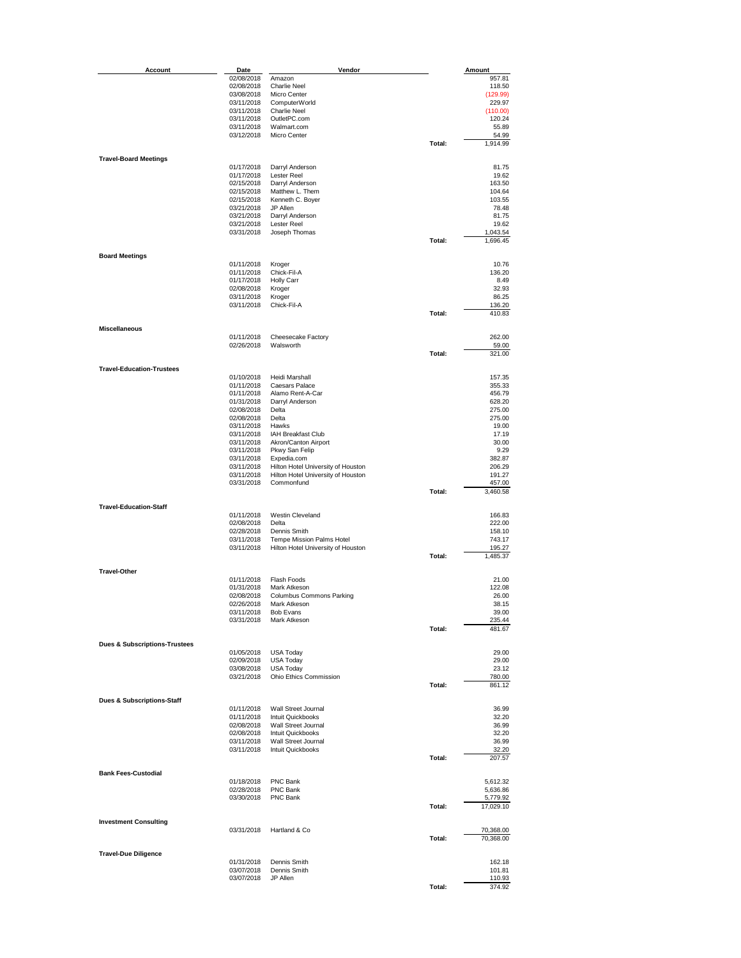| Account                                  | Date                     | Vendor                                            |        | Amount             |
|------------------------------------------|--------------------------|---------------------------------------------------|--------|--------------------|
|                                          | 02/08/2018               | Amazon                                            |        | 957.81             |
|                                          | 02/08/2018               | <b>Charlie Neel</b>                               |        | 118.50             |
|                                          | 03/08/2018               | Micro Center                                      |        | (129.99)           |
|                                          | 03/11/2018               | ComputerWorld                                     |        | 229.97             |
|                                          | 03/11/2018<br>03/11/2018 | <b>Charlie Neel</b><br>OutletPC.com               |        | (110.00)<br>120.24 |
|                                          | 03/11/2018               | Walmart.com                                       |        | 55.89              |
|                                          | 03/12/2018               | Micro Center                                      |        | 54.99              |
|                                          |                          |                                                   | Total: | 1,914.99           |
| <b>Travel-Board Meetings</b>             |                          |                                                   |        |                    |
|                                          | 01/17/2018               | Darryl Anderson                                   |        | 81.75              |
|                                          | 01/17/2018               | <b>Lester Reel</b>                                |        | 19.62              |
|                                          | 02/15/2018               | Darryl Anderson<br>Matthew L. Them                |        | 163.50             |
|                                          | 02/15/2018<br>02/15/2018 | Kenneth C. Boyer                                  |        | 104.64<br>103.55   |
|                                          | 03/21/2018               | JP Allen                                          |        | 78.48              |
|                                          | 03/21/2018               | Darryl Anderson                                   |        | 81.75              |
|                                          | 03/21/2018               | Lester Reel                                       |        | 19.62              |
|                                          | 03/31/2018               | Joseph Thomas                                     |        | 1,043.54           |
|                                          |                          |                                                   | Total: | 1,696.45           |
| <b>Board Meetings</b>                    | 01/11/2018               | Kroger                                            |        | 10.76              |
|                                          | 01/11/2018               | Chick-Fil-A                                       |        | 136.20             |
|                                          | 01/17/2018               | <b>Holly Carr</b>                                 |        | 8.49               |
|                                          | 02/08/2018               | Kroger                                            |        | 32.93              |
|                                          | 03/11/2018               | Kroger                                            |        | 86.25              |
|                                          | 03/11/2018               | Chick-Fil-A                                       | Total: | 136.20<br>410.83   |
|                                          |                          |                                                   |        |                    |
| <b>Miscellaneous</b>                     | 01/11/2018               | Cheesecake Factory                                |        | 262.00             |
|                                          | 02/26/2018               | Walsworth                                         |        | 59.00              |
|                                          |                          |                                                   | Total: | 321.00             |
| <b>Travel-Education-Trustees</b>         |                          |                                                   |        |                    |
|                                          | 01/10/2018               | Heidi Marshall<br>Caesars Palace                  |        | 157.35             |
|                                          | 01/11/2018<br>01/11/2018 | Alamo Rent-A-Car                                  |        | 355.33<br>456.79   |
|                                          | 01/31/2018               | Darryl Anderson                                   |        | 628.20             |
|                                          | 02/08/2018               | Delta                                             |        | 275.00             |
|                                          | 02/08/2018               | Delta                                             |        | 275.00             |
|                                          | 03/11/2018               | Hawks                                             |        | 19.00              |
|                                          | 03/11/2018               | IAH Breakfast Club                                |        | 17.19              |
|                                          | 03/11/2018               | Akron/Canton Airport                              |        | 30.00              |
|                                          | 03/11/2018               | Pkwy San Felip                                    |        | 9.29               |
|                                          | 03/11/2018<br>03/11/2018 | Expedia.com<br>Hilton Hotel University of Houston |        | 382.87<br>206.29   |
|                                          | 03/11/2018               | Hilton Hotel University of Houston                |        | 191.27             |
|                                          | 03/31/2018               | Commonfund                                        |        | 457.00             |
|                                          |                          |                                                   | Total: | 3,460.58           |
| <b>Travel-Education-Staff</b>            |                          |                                                   |        |                    |
|                                          | 01/11/2018               | Westin Cleveland                                  |        | 166.83             |
|                                          | 02/08/2018               | Delta<br>Dennis Smith                             |        | 222.00             |
|                                          | 02/28/2018<br>03/11/2018 | Tempe Mission Palms Hotel                         |        | 158.10<br>743.17   |
|                                          | 03/11/2018               | Hilton Hotel University of Houston                |        | 195.27             |
|                                          |                          |                                                   | Total: | 1,485.37           |
| <b>Travel-Other</b>                      |                          |                                                   |        |                    |
|                                          | 01/11/2018               | Flash Foods                                       |        | 21.00              |
|                                          | 01/31/2018               | Mark Atkeson                                      |        | 122.08             |
|                                          | 02/08/2018               | Columbus Commons Parking                          |        | 26.00              |
|                                          | 02/26/2018               | Mark Atkeson                                      |        | 38.15              |
|                                          | 03/11/2018               | <b>Bob Evans</b>                                  |        | 39.00              |
|                                          | 03/31/2018               | Mark Atkeson                                      | Total: | 235.44<br>481.67   |
| <b>Dues &amp; Subscriptions Trustees</b> |                          |                                                   |        |                    |
|                                          | 01/05/2018               | <b>USA Today</b>                                  |        | 29.00              |
|                                          | 02/09/2018               | <b>USA Today</b>                                  |        | 29.00              |
|                                          | 03/08/2018               | USA Today                                         |        | 23.12              |
|                                          | 03/21/2018               | Ohio Ethics Commission                            | Total: | 780.00<br>861.12   |
| Dues & Subscriptions-Staff               |                          |                                                   |        |                    |
|                                          | 01/11/2018               | Wall Street Journal                               |        | 36.99              |
|                                          | 01/11/2018               | Intuit Quickbooks                                 |        | 32.20              |
|                                          | 02/08/2018               | Wall Street Journal                               |        | 36.99              |
|                                          | 02/08/2018               | Intuit Quickbooks                                 |        | 32.20              |
|                                          | 03/11/2018               | Wall Street Journal                               |        | 36.99              |
|                                          | 03/11/2018               | Intuit Quickbooks                                 | Total: | 32.20<br>207.57    |
| <b>Bank Fees-Custodial</b>               |                          |                                                   |        |                    |
|                                          | 01/18/2018               | PNC Bank                                          |        | 5,612.32           |
|                                          | 02/28/2018               | PNC Bank                                          |        | 5,636.86           |
|                                          | 03/30/2018               | PNC Bank                                          |        | 5,779.92           |
|                                          |                          |                                                   | Total: | 17,029.10          |
| <b>Investment Consulting</b>             | 03/31/2018               | Hartland & Co                                     |        | 70,368.00          |
|                                          |                          |                                                   | Total: | 70,368.00          |
| <b>Travel-Due Diligence</b>              |                          |                                                   |        |                    |
|                                          | 01/31/2018               | Dennis Smith                                      |        | 162.18             |
|                                          | 03/07/2018               | Dennis Smith                                      |        | 101.81             |
|                                          | 03/07/2018               | JP Allen                                          | Total: | 110.93<br>374.92   |
|                                          |                          |                                                   |        |                    |